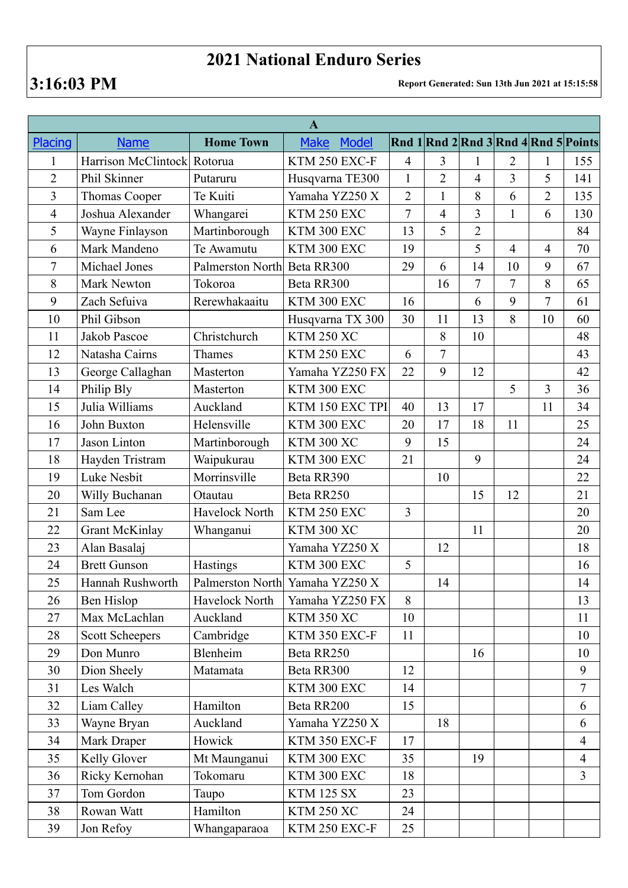## **2021 National Enduro Series**

**3:16:03 PM Report Generated: Sun 13th Jun 2021 at 15:15:58**

| $\mathbf{A}$   |                        |                             |                                 |                |                |                |                |                                                |                |
|----------------|------------------------|-----------------------------|---------------------------------|----------------|----------------|----------------|----------------|------------------------------------------------|----------------|
| <b>Placing</b> | <b>Name</b>            | <b>Home Town</b>            | <b>Make</b><br><b>Model</b>     |                |                |                |                | Rnd $1$ Rnd $2$ Rnd $3$ Rnd $4$ Rnd $5$ Points |                |
| $\mathbf{1}$   | Harrison McClintock    | Rotorua                     | KTM 250 EXC-F                   | $\overline{4}$ | 3              | $\mathbf{1}$   | $\overline{2}$ | 1                                              | 155            |
| $\overline{2}$ | Phil Skinner           | Putaruru                    | Husqvarna TE300                 | $\mathbf{1}$   | $\overline{2}$ | $\overline{4}$ | $\overline{3}$ | 5                                              | 141            |
| $\overline{3}$ | Thomas Cooper          | Te Kuiti                    | Yamaha YZ250 X                  | $\overline{2}$ | $\mathbf{1}$   | 8              | 6              | $\overline{2}$                                 | 135            |
| $\overline{4}$ | Joshua Alexander       | Whangarei                   | KTM 250 EXC                     | 7              | 4              | 3              | $\mathbf{1}$   | 6                                              | 130            |
| 5              | Wayne Finlayson        | Martinborough               | KTM 300 EXC                     | 13             | 5              | $\overline{2}$ |                |                                                | 84             |
| 6              | Mark Mandeno           | Te Awamutu                  | KTM 300 EXC                     | 19             |                | 5              | $\overline{4}$ | $\overline{4}$                                 | 70             |
| $\overline{7}$ | Michael Jones          | Palmerston North Beta RR300 |                                 | 29             | 6              | 14             | 10             | 9                                              | 67             |
| 8              | <b>Mark Newton</b>     | Tokoroa                     | Beta RR300                      |                | 16             | $\overline{7}$ | $\tau$         | 8                                              | 65             |
| 9              | Zach Sefuiva           | Rerewhakaaitu               | KTM 300 EXC                     | 16             |                | 6              | 9              | $\overline{7}$                                 | 61             |
| 10             | Phil Gibson            |                             | Husqvarna TX 300                | 30             | 11             | 13             | 8              | 10                                             | 60             |
| 11             | Jakob Pascoe           | Christchurch                | <b>KTM 250 XC</b>               |                | 8              | 10             |                |                                                | 48             |
| 12             | Natasha Cairns         | Thames                      | KTM 250 EXC                     | 6              | 7              |                |                |                                                | 43             |
| 13             | George Callaghan       | Masterton                   | Yamaha YZ250 FX                 | 22             | 9              | 12             |                |                                                | 42             |
| 14             | Philip Bly             | Masterton                   | KTM 300 EXC                     |                |                |                | 5              | $\overline{3}$                                 | 36             |
| 15             | Julia Williams         | Auckland                    | KTM 150 EXC TPI                 | 40             | 13             | 17             |                | 11                                             | 34             |
| 16             | John Buxton            | Helensville                 | KTM 300 EXC                     | 20             | 17             | 18             | 11             |                                                | 25             |
| 17             | Jason Linton           | Martinborough               | <b>KTM 300 XC</b>               | 9              | 15             |                |                |                                                | 24             |
| 18             | Hayden Tristram        | Waipukurau                  | KTM 300 EXC                     | 21             |                | 9              |                |                                                | 24             |
| 19             | Luke Nesbit            | Morrinsville                | Beta RR390                      |                | 10             |                |                |                                                | 22             |
| 20             | Willy Buchanan         | Otautau                     | Beta RR250                      |                |                | 15             | 12             |                                                | 21             |
| 21             | Sam Lee                | Havelock North              | KTM 250 EXC                     | 3              |                |                |                |                                                | 20             |
| 22             | <b>Grant McKinlay</b>  | Whanganui                   | <b>KTM 300 XC</b>               |                |                | 11             |                |                                                | 20             |
| 23             | Alan Basalaj           |                             | Yamaha YZ250 X                  |                | 12             |                |                |                                                | 18             |
| 24             | <b>Brett Gunson</b>    | Hastings                    | KTM 300 EXC                     | 5              |                |                |                |                                                | 16             |
| 25             | Hannah Rushworth       |                             | Palmerston North Yamaha YZ250 X |                | 14             |                |                |                                                | 14             |
| 26             | Ben Hislop             | Havelock North              | Yamaha YZ250 FX                 | 8              |                |                |                |                                                | 13             |
| 27             | Max McLachlan          | Auckland                    | <b>KTM 350 XC</b>               | 10             |                |                |                |                                                | 11             |
| 28             | <b>Scott Scheepers</b> | Cambridge                   | KTM 350 EXC-F                   | 11             |                |                |                |                                                | 10             |
| 29             | Don Munro              | Blenheim                    | Beta RR250                      |                |                | 16             |                |                                                | 10             |
| 30             | Dion Sheely            | Matamata                    | Beta RR300                      | 12             |                |                |                |                                                | 9              |
| 31             | Les Walch              |                             | KTM 300 EXC                     | 14             |                |                |                |                                                | $\overline{7}$ |
| 32             | Liam Calley            | Hamilton                    | Beta RR200                      | 15             |                |                |                |                                                | 6              |
| 33             | Wayne Bryan            | Auckland                    | Yamaha YZ250 X                  |                | 18             |                |                |                                                | 6              |
| 34             | Mark Draper            | Howick                      | KTM 350 EXC-F                   | 17             |                |                |                |                                                | $\overline{4}$ |
| 35             | Kelly Glover           | Mt Maunganui                | KTM 300 EXC                     | 35             |                | 19             |                |                                                | $\overline{4}$ |
| 36             | Ricky Kernohan         | Tokomaru                    | KTM 300 EXC                     | 18             |                |                |                |                                                | $\overline{3}$ |
| 37             | Tom Gordon             | Taupo                       | <b>KTM 125 SX</b>               | 23             |                |                |                |                                                |                |
| 38             | Rowan Watt             | Hamilton                    | <b>KTM 250 XC</b>               | 24             |                |                |                |                                                |                |
| 39             | Jon Refoy              | Whangaparaoa                | KTM 250 EXC-F                   | 25             |                |                |                |                                                |                |